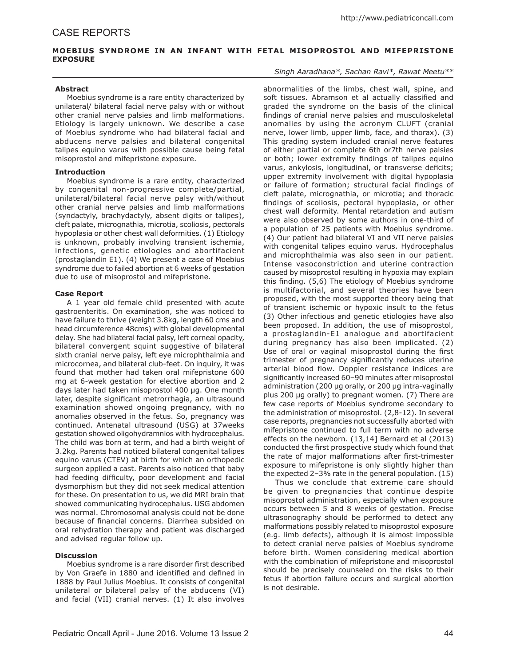# **MOEBIUS SYNDROME IN AN INFANT WITH FETAL MISOPROSTOL AND MIFEPRISTONE EXPOSURE**

### **Abstract**

Moebius syndrome is a rare entity characterized by unilateral/ bilateral facial nerve palsy with or without other cranial nerve palsies and limb malformations. Etiology is largely unknown. We describe a case of Moebius syndrome who had bilateral facial and abducens nerve palsies and bilateral congenital talipes equino varus with possible cause being fetal misoprostol and mifepristone exposure.

### **Introduction**

Moebius syndrome is a rare entity, characterized by congenital non-progressive complete/partial, unilateral/bilateral facial nerve palsy with/without other cranial nerve palsies and limb malformations (syndactyly, brachydactyly, absent digits or talipes), cleft palate, micrognathia, microtia, scoliosis, pectorals hypoplasia or other chest wall deformities. (1) Etiology is unknown, probably involving transient ischemia, infections, genetic etiologies and abortifacient (prostaglandin E1). (4) We present a case of Moebius syndrome due to failed abortion at 6 weeks of gestation due to use of misoprostol and mifepristone.

### **Case Report**

A 1 year old female child presented with acute gastroenteritis. On examination, she was noticed to have failure to thrive (weight 3.8kg, length 60 cms and head circumference 48cms) with global developmental delay. She had bilateral facial palsy, left corneal opacity, bilateral convergent squint suggestive of bilateral sixth cranial nerve palsy, left eye microphthalmia and microcornea, and bilateral club-feet. On inquiry, it was found that mother had taken oral mifepristone 600 mg at 6-week gestation for elective abortion and 2 days later had taken misoprostol 400 µg. One month later, despite significant metrorrhagia, an ultrasound examination showed ongoing pregnancy, with no anomalies observed in the fetus. So, pregnancy was continued. Antenatal ultrasound (USG) at 37weeks gestation showed oligohydramnios with hydrocephalus. The child was born at term, and had a birth weight of 3.2kg. Parents had noticed bilateral congenital talipes equino varus (CTEV) at birth for which an orthopedic surgeon applied a cast. Parents also noticed that baby had feeding difficulty, poor development and facial dysmorphism but they did not seek medical attention for these. On presentation to us, we did MRI brain that showed communicating hydrocephalus. USG abdomen was normal. Chromosomal analysis could not be done because of financial concerns. Diarrhea subsided on oral rehydration therapy and patient was discharged and advised regular follow up.

#### **Discussion**

Moebius syndrome is a rare disorder first described by Von Graefe in 1880 and identified and defined in 1888 by Paul Julius Moebius. It consists of congenital unilateral or bilateral palsy of the abducens (VI) and facial (VII) cranial nerves. (1) It also involves

### *Singh Aaradhana\*, Sachan Ravi\*, Rawat Meetu\*\**

abnormalities of the limbs, chest wall, spine, and soft tissues. Abramson et al actually classified and graded the syndrome on the basis of the clinical findings of cranial nerve palsies and musculoskeletal anomalies by using the acronym CLUFT (cranial nerve, lower limb, upper limb, face, and thorax). (3) This grading system included cranial nerve features of either partial or complete 6th or7th nerve palsies or both; lower extremity findings of talipes equino varus, ankylosis, longitudinal, or transverse deficits; upper extremity involvement with digital hypoplasia or failure of formation; structural facial findings of cleft palate, micrognathia, or microtia; and thoracic findings of scoliosis, pectoral hypoplasia, or other chest wall deformity. Mental retardation and autism were also observed by some authors in one-third of a population of 25 patients with Moebius syndrome. (4) Our patient had bilateral VI and VII nerve palsies with congenital talipes equino varus. Hydrocephalus and microphthalmia was also seen in our patient. Intense vasoconstriction and uterine contraction caused by misoprostol resulting in hypoxia may explain this finding. (5,6) The etiology of Moebius syndrome is multifactorial, and several theories have been proposed, with the most supported theory being that of transient ischemic or hypoxic insult to the fetus (3) Other infectious and genetic etiologies have also been proposed. In addition, the use of misoprostol, a prostaglandin-E1 analogue and abortifacient during pregnancy has also been implicated. (2) Use of oral or vaginal misoprostol during the first trimester of pregnancy significantly reduces uterine arterial blood flow. Doppler resistance indices are significantly increased 60–90 minutes after misoprostol administration (200 µg orally, or 200 µg intra-vaginally plus 200 µg orally) to pregnant women. (7) There are few case reports of Moebius syndrome secondary to the administration of misoprostol. (2,8-12). In several case reports, pregnancies not successfully aborted with mifepristone continued to full term with no adverse effects on the newborn. (13,14] Bernard et al (2013) conducted the first prospective study which found that the rate of major malformations after first-trimester exposure to mifepristone is only slightly higher than the expected 2–3% rate in the general population. (15)

Thus we conclude that extreme care should be given to pregnancies that continue despite misoprostol administration, especially when exposure occurs between 5 and 8 weeks of gestation. Precise ultrasonography should be performed to detect any malformations possibly related to misoprostol exposure (e.g. limb defects), although it is almost impossible to detect cranial nerve palsies of Moebius syndrome before birth. Women considering medical abortion with the combination of mifepristone and misoprostol should be precisely counseled on the risks to their fetus if abortion failure occurs and surgical abortion is not desirable.